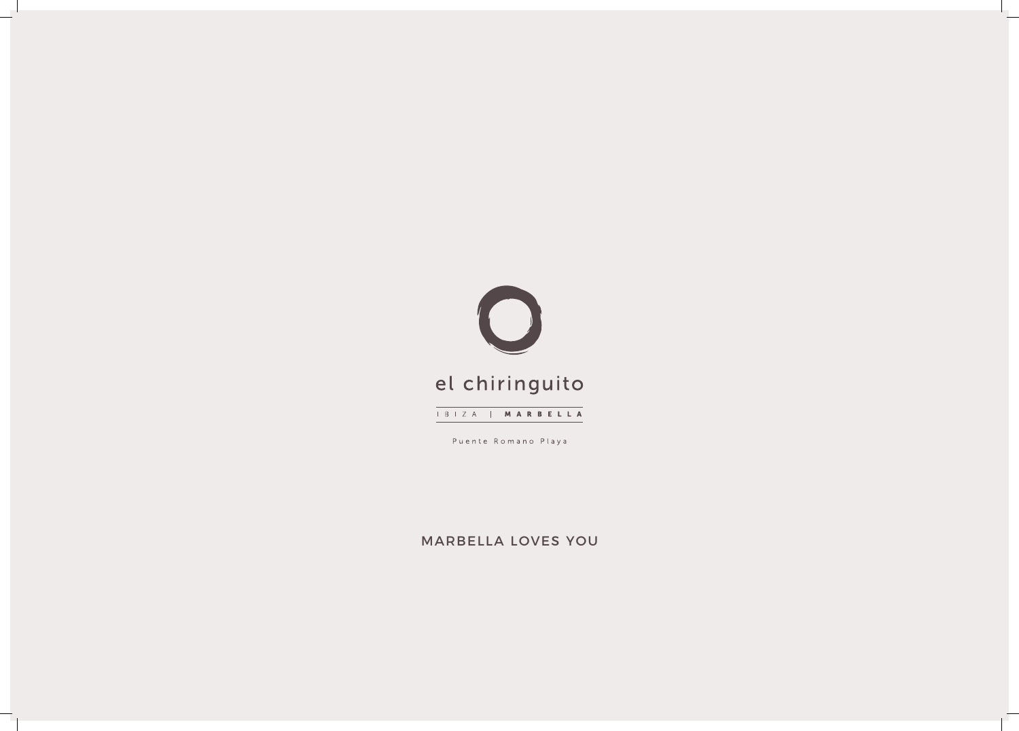

Puente Romano Playa

MARBELLA LOVES YOU